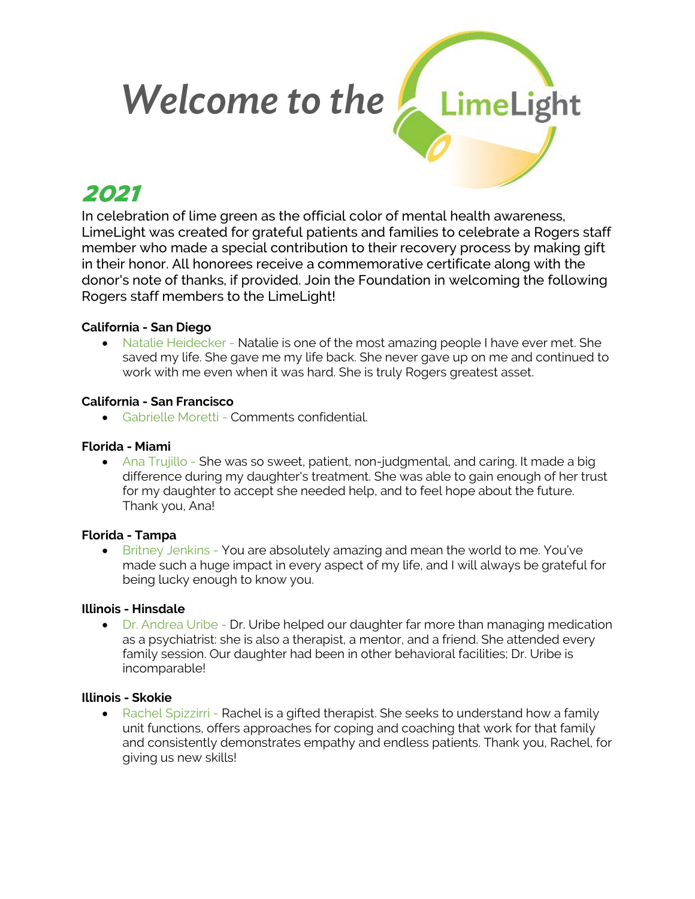# LimeLight  *Welcome to the*

# 2021

In celebration of lime green as the official color of mental health awareness, LimeLight was created for grateful patients and families to celebrate a Rogers staff member who made a special contribution to their recovery process by making gift in their honor. All honorees receive a commemorative certificate along with the donor's note of thanks, if provided. Join the Foundation in welcoming the following Rogers staff members to the LimeLight!

# **California - San Diego**

• Natalie Heidecker - Natalie is one of the most amazing people I have ever met. She saved my life. She gave me my life back. She never gave up on me and continued to work with me even when it was hard. She is truly Rogers greatest asset.

# **California - San Francisco**

• Gabrielle Moretti - Comments confidential.

# **Florida - Miami**

• Ana Trujillo - She was so sweet, patient, non-judgmental, and caring. It made a big difference during my daughter's treatment. She was able to gain enough of her trust for my daughter to accept she needed help, and to feel hope about the future. Thank you, Ana!

# **Florida - Tampa**

• Britney Jenkins - You are absolutely amazing and mean the world to me. You've made such a huge impact in every aspect of my life, and I will always be grateful for being lucky enough to know you.

# **Illinois - Hinsdale**

• Dr. Andrea Uribe - Dr. Uribe helped our daughter far more than managing medication as a psychiatrist: she is also a therapist, a mentor, and a friend. She attended every family session. Our daughter had been in other behavioral facilities; Dr. Uribe is incomparable!

# **Illinois - Skokie**

• Rachel Spizzirri - Rachel is a gifted therapist. She seeks to understand how a family unit functions, offers approaches for coping and coaching that work for that family and consistently demonstrates empathy and endless patients. Thank you, Rachel, for giving us new skills!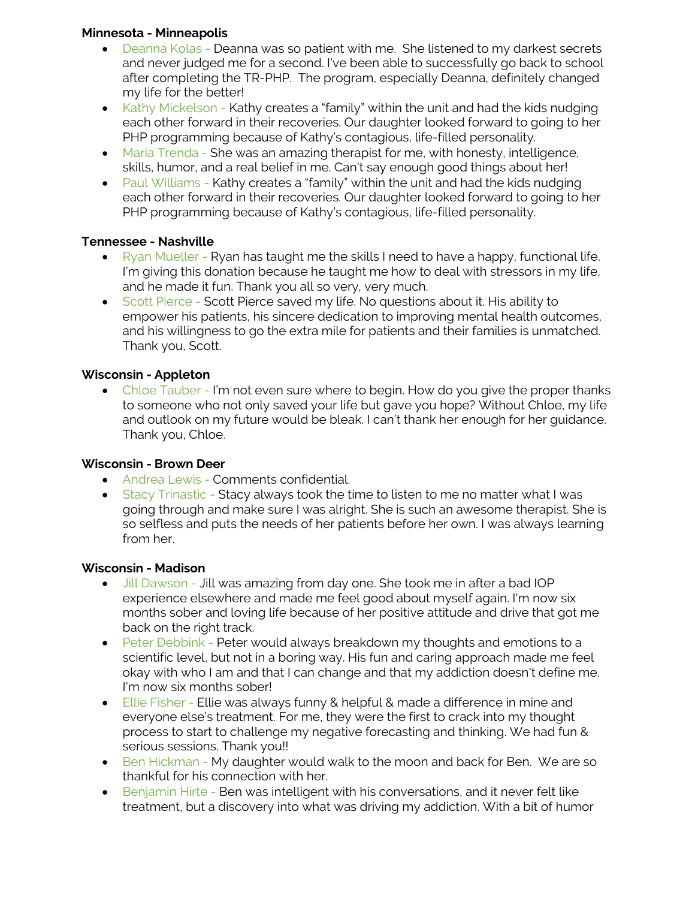#### **Minnesota - Minneapolis**

- Deanna Kolas Deanna was so patient with me. She listened to my darkest secrets and never judged me for a second. I've been able to successfully go back to school after completing the TR-PHP. The program, especially Deanna, definitely changed my life for the better!
- Kathy Mickelson Kathy creates a "family" within the unit and had the kids nudging each other forward in their recoveries. Our daughter looked forward to going to her PHP programming because of Kathy's contagious, life-filled personality.
- Maria Trenda She was an amazing therapist for me, with honesty, intelligence, skills, humor, and a real belief in me. Can't say enough good things about her!
- Paul Williams Kathy creates a "family" within the unit and had the kids nudging each other forward in their recoveries. Our daughter looked forward to going to her PHP programming because of Kathy's contagious, life-filled personality.

# **Tennessee - Nashville**

- Ryan Mueller Ryan has taught me the skills I need to have a happy, functional life. I'm giving this donation because he taught me how to deal with stressors in my life, and he made it fun. Thank you all so very, very much.
- Scott Pierce Scott Pierce saved my life. No questions about it. His ability to empower his patients, his sincere dedication to improving mental health outcomes, and his willingness to go the extra mile for patients and their families is unmatched. Thank you, Scott.

# **Wisconsin - Appleton**

• Chloe Tauber - I'm not even sure where to begin. How do you give the proper thanks to someone who not only saved your life but gave you hope? Without Chloe, my life and outlook on my future would be bleak. I can't thank her enough for her guidance. Thank you, Chloe.

# **Wisconsin - Brown Deer**

- Andrea Lewis Comments confidential.
- Stacy Trinastic Stacy always took the time to listen to me no matter what I was going through and make sure I was alright. She is such an awesome therapist. She is so selfless and puts the needs of her patients before her own. I was always learning from her.

# **Wisconsin - Madison**

- Jill Dawson Jill was amazing from day one. She took me in after a bad IOP experience elsewhere and made me feel good about myself again. I'm now six months sober and loving life because of her positive attitude and drive that got me back on the right track.
- Peter Debbink Peter would always breakdown my thoughts and emotions to a scientific level, but not in a boring way. His fun and caring approach made me feel okay with who I am and that I can change and that my addiction doesn't define me. I'm now six months sober!
- Ellie Fisher Ellie was always funny & helpful & made a difference in mine and everyone else's treatment. For me, they were the first to crack into my thought process to start to challenge my negative forecasting and thinking. We had fun & serious sessions. Thank you!!
- Ben Hickman My daughter would walk to the moon and back for Ben. We are so thankful for his connection with her.
- Benjamin Hirte Ben was intelligent with his conversations, and it never felt like treatment, but a discovery into what was driving my addiction. With a bit of humor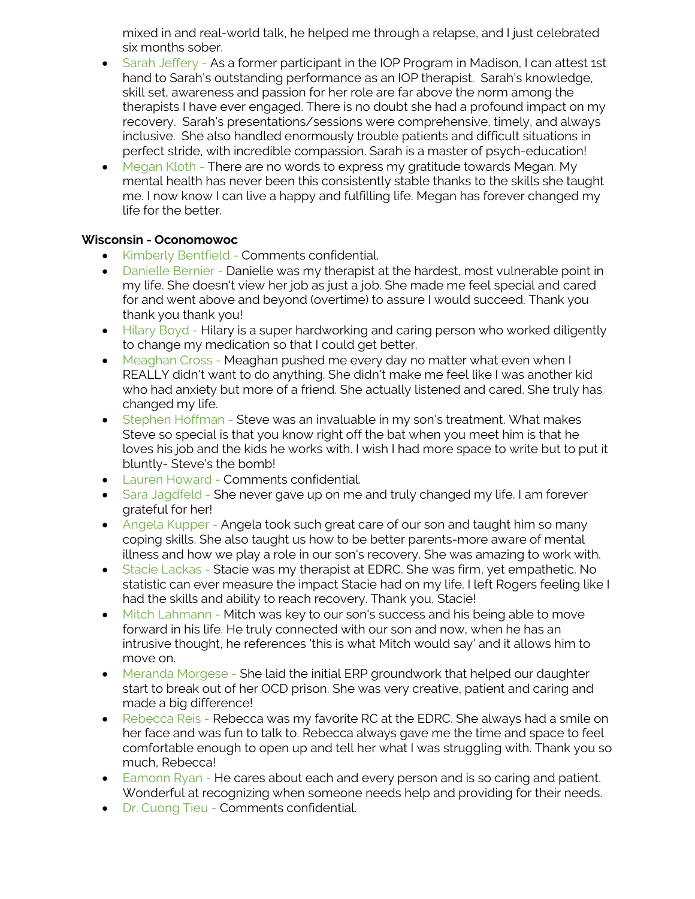mixed in and real-world talk, he helped me through a relapse, and I just celebrated six months sober.

- Sarah Jeffery As a former participant in the IOP Program in Madison, I can attest 1st hand to Sarah's outstanding performance as an IOP therapist. Sarah's knowledge, skill set, awareness and passion for her role are far above the norm among the therapists I have ever engaged. There is no doubt she had a profound impact on my recovery. Sarah's presentations/sessions were comprehensive, timely, and always inclusive. She also handled enormously trouble patients and difficult situations in perfect stride, with incredible compassion. Sarah is a master of psych-education!
- Megan Kloth There are no words to express my gratitude towards Megan. My mental health has never been this consistently stable thanks to the skills she taught me. I now know I can live a happy and fulfilling life. Megan has forever changed my life for the better.

# **Wisconsin - Oconomowoc**

- Kimberly Bentfield Comments confidential.
- Danielle Bernier Danielle was my therapist at the hardest, most vulnerable point in my life. She doesn't view her job as just a job. She made me feel special and cared for and went above and beyond (overtime) to assure I would succeed. Thank you thank you thank you!
- Hilary Boyd Hilary is a super hardworking and caring person who worked diligently to change my medication so that I could get better.
- Meaghan Cross Meaghan pushed me every day no matter what even when I REALLY didn't want to do anything. She didn't make me feel like I was another kid who had anxiety but more of a friend. She actually listened and cared. She truly has changed my life.
- Stephen Hoffman Steve was an invaluable in my son's treatment. What makes Steve so special is that you know right off the bat when you meet him is that he loves his job and the kids he works with. I wish I had more space to write but to put it bluntly- Steve's the bomb!
- Lauren Howard Comments confidential.
- Sara Jagdfeld She never gave up on me and truly changed my life. I am forever grateful for her!
- Angela Kupper Angela took such great care of our son and taught him so many coping skills. She also taught us how to be better parents-more aware of mental illness and how we play a role in our son's recovery. She was amazing to work with.
- Stacie Lackas Stacie was my therapist at EDRC. She was firm, yet empathetic. No statistic can ever measure the impact Stacie had on my life. I left Rogers feeling like I had the skills and ability to reach recovery. Thank you, Stacie!
- Mitch Lahmann Mitch was key to our son's success and his being able to move forward in his life. He truly connected with our son and now, when he has an intrusive thought, he references 'this is what Mitch would say' and it allows him to move on.
- Meranda Morgese She laid the initial ERP groundwork that helped our daughter start to break out of her OCD prison. She was very creative, patient and caring and made a big difference!
- Rebecca Reis Rebecca was my favorite RC at the EDRC. She always had a smile on her face and was fun to talk to. Rebecca always gave me the time and space to feel comfortable enough to open up and tell her what I was struggling with. Thank you so much, Rebecca!
- Eamonn Ryan He cares about each and every person and is so caring and patient. Wonderful at recognizing when someone needs help and providing for their needs.
- Dr. Cuong Tieu Comments confidential.